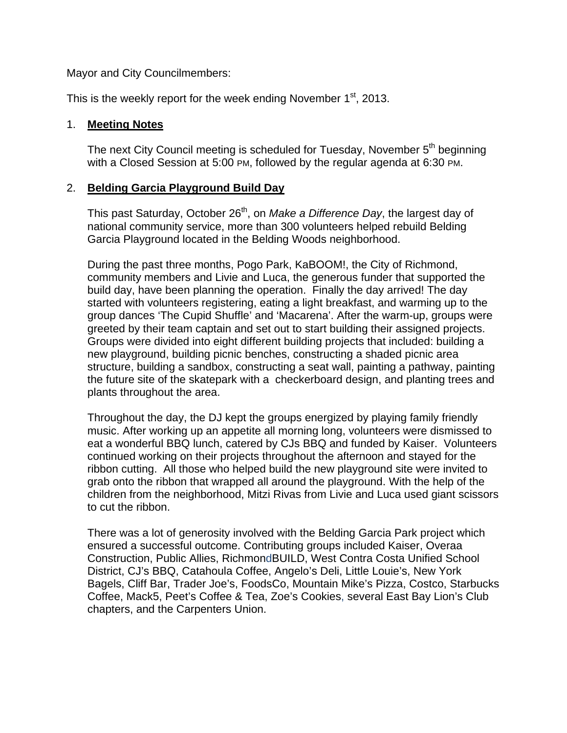Mayor and City Councilmembers:

This is the weekly report for the week ending November  $1<sup>st</sup>$ , 2013.

### 1. **Meeting Notes**

The next City Council meeting is scheduled for Tuesday, November  $5<sup>th</sup>$  beginning with a Closed Session at 5:00 PM, followed by the regular agenda at 6:30 PM.

### 2. **Belding Garcia Playground Build Day**

This past Saturday, October 26<sup>th</sup>, on *Make a Difference Day*, the largest day of national community service, more than 300 volunteers helped rebuild Belding Garcia Playground located in the Belding Woods neighborhood.

During the past three months, Pogo Park, KaBOOM!, the City of Richmond, community members and Livie and Luca, the generous funder that supported the build day, have been planning the operation. Finally the day arrived! The day started with volunteers registering, eating a light breakfast, and warming up to the group dances 'The Cupid Shuffle' and 'Macarena'. After the warm-up, groups were greeted by their team captain and set out to start building their assigned projects. Groups were divided into eight different building projects that included: building a new playground, building picnic benches, constructing a shaded picnic area structure, building a sandbox, constructing a seat wall, painting a pathway, painting the future site of the skatepark with a checkerboard design, and planting trees and plants throughout the area.

Throughout the day, the DJ kept the groups energized by playing family friendly music. After working up an appetite all morning long, volunteers were dismissed to eat a wonderful BBQ lunch, catered by CJs BBQ and funded by Kaiser. Volunteers continued working on their projects throughout the afternoon and stayed for the ribbon cutting. All those who helped build the new playground site were invited to grab onto the ribbon that wrapped all around the playground. With the help of the children from the neighborhood, Mitzi Rivas from Livie and Luca used giant scissors to cut the ribbon.

There was a lot of generosity involved with the Belding Garcia Park project which ensured a successful outcome. Contributing groups included Kaiser, Overaa Construction, Public Allies, RichmondBUILD, West Contra Costa Unified School District, CJ's BBQ, Catahoula Coffee, Angelo's Deli, Little Louie's, New York Bagels, Cliff Bar, Trader Joe's, FoodsCo, Mountain Mike's Pizza, Costco, Starbucks Coffee, Mack5, Peet's Coffee & Tea, Zoe's Cookies, several East Bay Lion's Club chapters, and the Carpenters Union.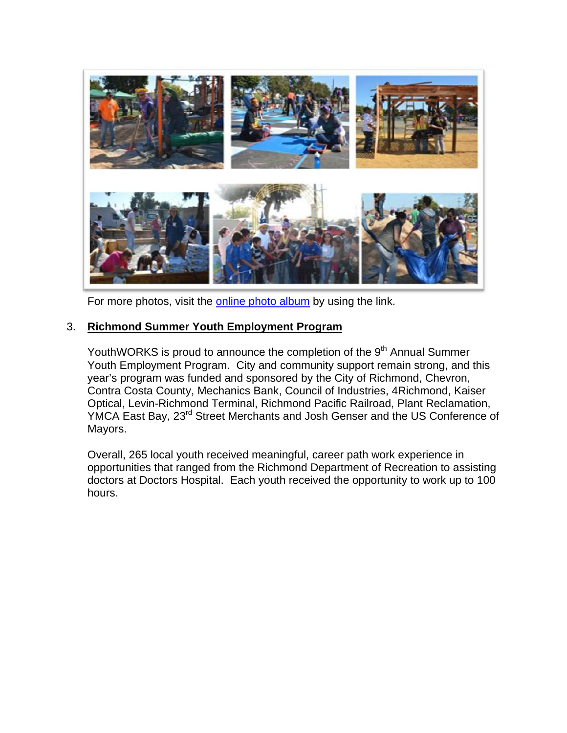

For more photos, visit the [online photo album](http://www.flickr.com/photos/107031647@N03/) by using the link.

### 3. **Richmond Summer Youth Employment Program**

YouthWORKS is proud to announce the completion of the 9<sup>th</sup> Annual Summer Youth Employment Program. City and community support remain strong, and this year's program was funded and sponsored by the City of Richmond, Chevron, Contra Costa County, Mechanics Bank, Council of Industries, 4Richmond, Kaiser Optical, Levin-Richmond Terminal, Richmond Pacific Railroad, Plant Reclamation, YMCA East Bay, 23<sup>rd</sup> Street Merchants and Josh Genser and the US Conference of Mayors.

Overall, 265 local youth received meaningful, career path work experience in opportunities that ranged from the Richmond Department of Recreation to assisting doctors at Doctors Hospital. Each youth received the opportunity to work up to 100 hours.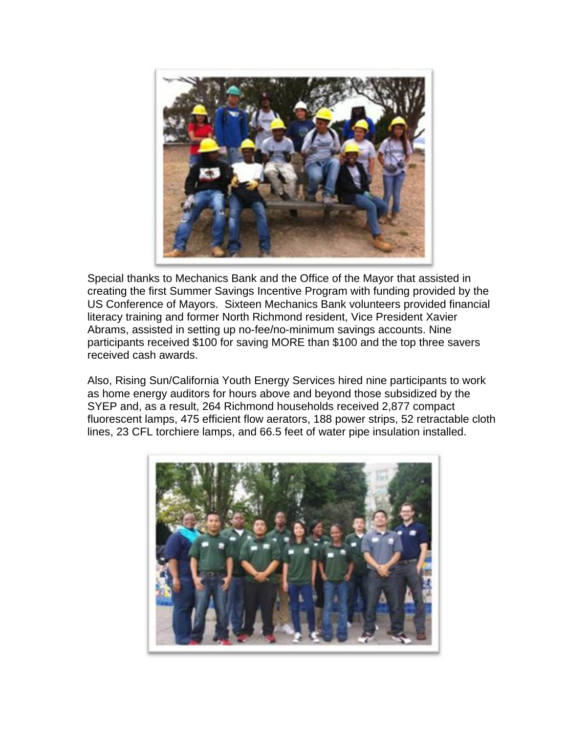

Special thanks to Mechanics Bank and the Office of the Mayor that assisted in creating the first Summer Savings Incentive Program with funding provided by the US Conference of Mayors. Sixteen Mechanics Bank volunteers provided financial literacy training and former North Richmond resident, Vice President Xavier Abrams, assisted in setting up no-fee/no-minimum savings accounts. Nine participants received \$100 for saving MORE than \$100 and the top three savers received cash awards.

Also, Rising Sun/California Youth Energy Services hired nine participants to work as home energy auditors for hours above and beyond those subsidized by the SYEP and, as a result, 264 Richmond households received 2,877 compact fluorescent lamps, 475 efficient flow aerators, 188 power strips, 52 retractable cloth lines, 23 CFL torchiere lamps, and 66.5 feet of water pipe insulation installed.

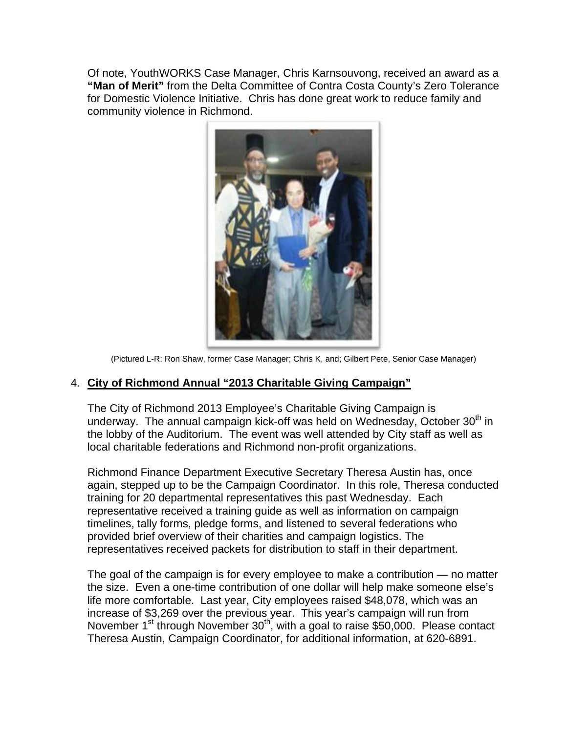Of note, YouthWORKS Case Manager, Chris Karnsouvong, received an award as a **"Man of Merit"** from the Delta Committee of Contra Costa County's Zero Tolerance for Domestic Violence Initiative. Chris has done great work to reduce family and community violence in Richmond.



(Pictured L-R: Ron Shaw, former Case Manager; Chris K, and; Gilbert Pete, Senior Case Manager)

### 4. **City of Richmond Annual "2013 Charitable Giving Campaign"**

The City of Richmond 2013 Employee's Charitable Giving Campaign is underway. The annual campaign kick-off was held on Wednesday, October  $30<sup>th</sup>$  in the lobby of the Auditorium. The event was well attended by City staff as well as local charitable federations and Richmond non-profit organizations.

Richmond Finance Department Executive Secretary Theresa Austin has, once again, stepped up to be the Campaign Coordinator. In this role, Theresa conducted training for 20 departmental representatives this past Wednesday. Each representative received a training guide as well as information on campaign timelines, tally forms, pledge forms, and listened to several federations who provided brief overview of their charities and campaign logistics. The representatives received packets for distribution to staff in their department.

The goal of the campaign is for every employee to make a contribution — no matter the size. Even a one-time contribution of one dollar will help make someone else's life more comfortable. Last year, City employees raised \$48,078, which was an increase of \$3,269 over the previous year. This year's campaign will run from November  $1^{st}$  through November  $30^{th}$ , with a goal to raise \$50,000. Please contact Theresa Austin, Campaign Coordinator, for additional information, at 620-6891.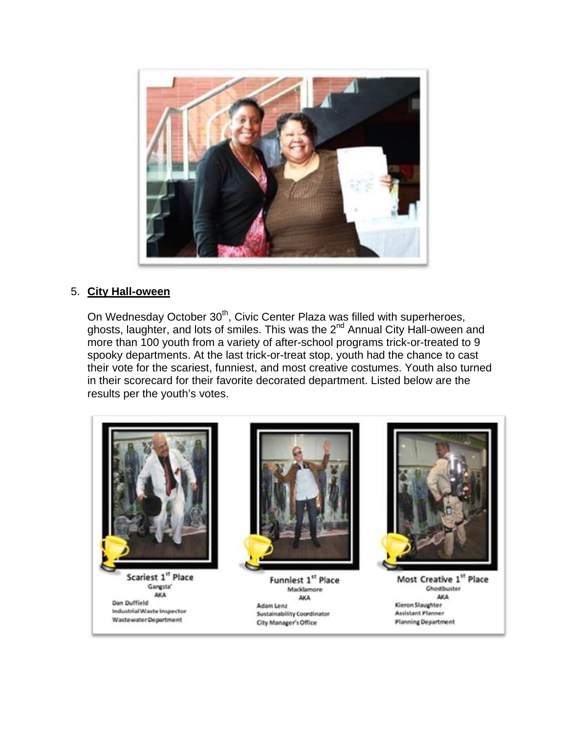

### 5. **City Hall-oween**

On Wednesday October 30<sup>th</sup>, Civic Center Plaza was filled with superheroes, ghosts, laughter, and lots of smiles. This was the 2<sup>nd</sup> Annual City Hall-oween and more than 100 youth from a variety of after-school programs trick-or-treated to 9 spooky departments. At the last trick-or-treat stop, youth had the chance to cast their vote for the scariest, funniest, and most creative costumes. Youth also turned in their scorecard for their favorite decorated department. Listed below are the results per the youth's votes.





Funniest 1st Place Macklamore **AKA** Adam Lenz **Sustainability Coordinator** City Manager's Office



Most Creative 1st Place Ghostbuster AKA Kieron Slaughter **Assistant Planner Planning Department**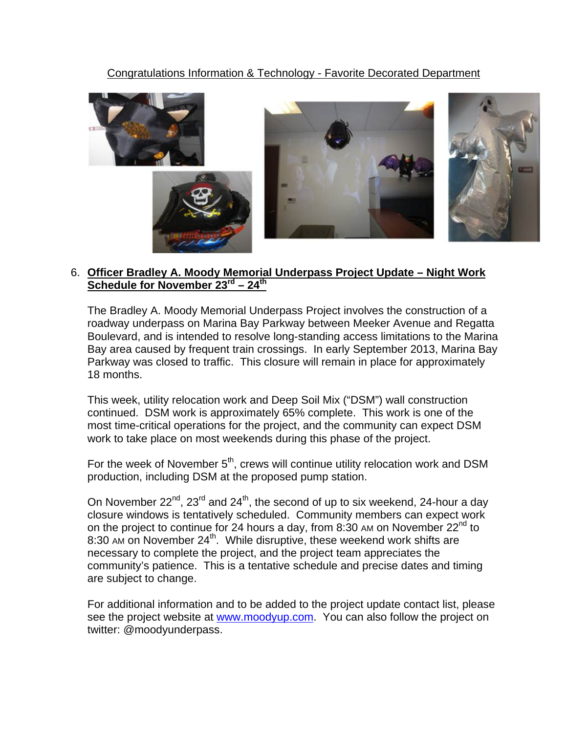# Congratulations Information & Technology - Favorite Decorated Department



### 6. **Officer Bradley A. Moody Memorial Underpass Project Update – Night Work Schedule for November 23rd – 24th**

The Bradley A. Moody Memorial Underpass Project involves the construction of a roadway underpass on Marina Bay Parkway between Meeker Avenue and Regatta Boulevard, and is intended to resolve long-standing access limitations to the Marina Bay area caused by frequent train crossings. In early September 2013, Marina Bay Parkway was closed to traffic. This closure will remain in place for approximately 18 months.

This week, utility relocation work and Deep Soil Mix ("DSM") wall construction continued. DSM work is approximately 65% complete. This work is one of the most time-critical operations for the project, and the community can expect DSM work to take place on most weekends during this phase of the project.

For the week of November  $5<sup>th</sup>$ , crews will continue utility relocation work and DSM production, including DSM at the proposed pump station.

On November  $22^{nd}$ ,  $23^{rd}$  and  $24^{th}$ , the second of up to six weekend, 24-hour a day closure windows is tentatively scheduled. Community members can expect work on the project to continue for 24 hours a day, from 8:30 AM on November  $22^{nd}$  to 8:30 AM on November 24<sup>th</sup>. While disruptive, these weekend work shifts are necessary to complete the project, and the project team appreciates the community's patience. This is a tentative schedule and precise dates and timing are subject to change.

For additional information and to be added to the project update contact list, please see the project website at [www.moodyup.com.](http://www.moodyup.com/) You can also follow the project on twitter: @moodyunderpass.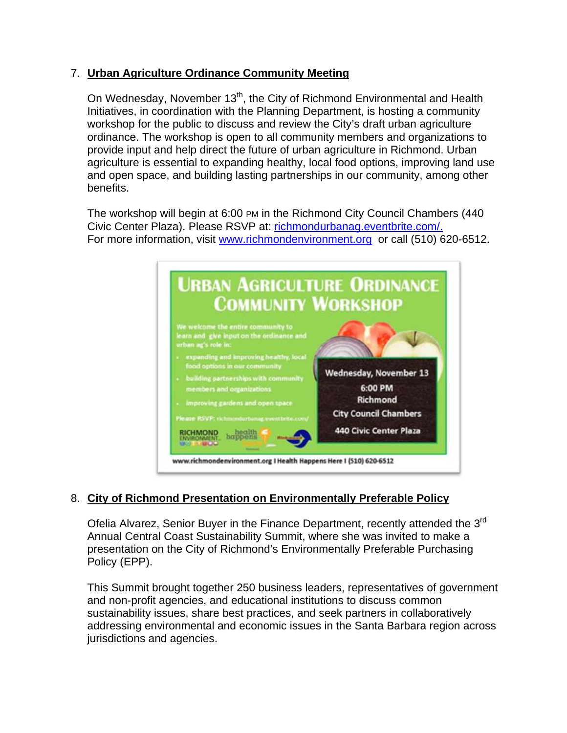# 7. **Urban Agriculture Ordinance Community Meeting**

On Wednesday, November 13<sup>th</sup>, the City of Richmond Environmental and Health Initiatives, in coordination with the Planning Department, is hosting a community workshop for the public to discuss and review the City's draft urban agriculture ordinance. The workshop is open to all community members and organizations to provide input and help direct the future of urban agriculture in Richmond. Urban agriculture is essential to expanding healthy, local food options, improving land use and open space, and building lasting partnerships in our community, among other benefits.

The workshop will begin at 6:00 PM in the Richmond City Council Chambers (440 Civic Center Plaza). Please RSVP at: richmondurbanag.eventbrite.com/. For more information, visit [www.richmondenvironment.org](http://www.richmondenvironment.org/) or call (510) 620-6512.



# 8. **City of Richmond Presentation on Environmentally Preferable Policy**

Ofelia Alvarez, Senior Buyer in the Finance Department, recently attended the 3<sup>rd</sup> Annual Central Coast Sustainability Summit, where she was invited to make a presentation on the City of Richmond's Environmentally Preferable Purchasing Policy (EPP).

This Summit brought together 250 business leaders, representatives of government and non-profit agencies, and educational institutions to discuss common sustainability issues, share best practices, and seek partners in collaboratively addressing environmental and economic issues in the Santa Barbara region across jurisdictions and agencies.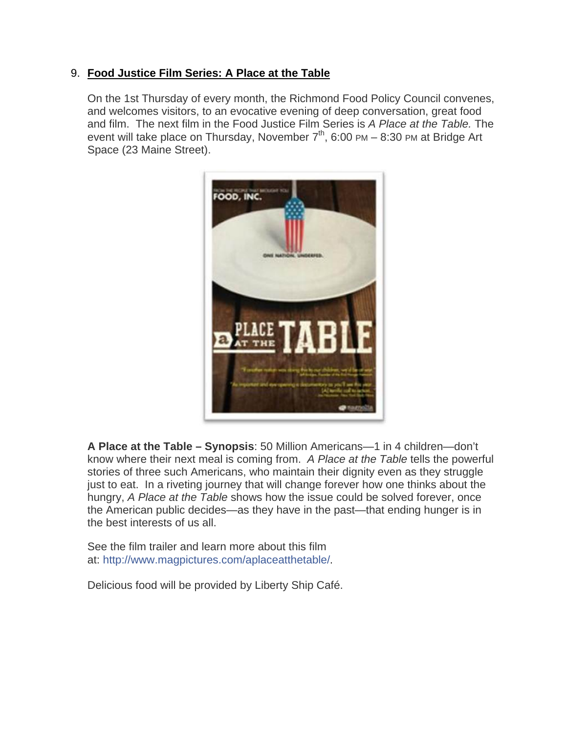# 9. **Food Justice Film Series: A Place at the Table**

On the 1st Thursday of every month, the Richmond Food Policy Council convenes, and welcomes visitors, to an evocative evening of deep conversation, great food and film. The next film in the Food Justice Film Series is *A Place at the Table.* The event will take place on Thursday, November  $7<sup>th</sup>$ , 6:00 PM – 8:30 PM at Bridge Art Space (23 Maine Street).



**A Place at the Table – Synopsis**: 50 Million Americans—1 in 4 children—don't know where their next meal is coming from. *A Place at the Table* tells the powerful stories of three such Americans, who maintain their dignity even as they struggle just to eat. In a riveting journey that will change forever how one thinks about the hungry, *A Place at the Table* shows how the issue could be solved forever, once the American public decides—as they have in the past—that ending hunger is in the best interests of us all.

See the film trailer and learn more about this film at: [http://www.magpictures.com/aplaceatthetable/](http://www.facebook.com/l.php?u=http%3A%2F%2Fwww.magpictures.com%2Faplaceatthetable%2F&h=eAQFHI4YD&enc=AZNuANQuufLgE7zb6MVP6JK9LNy1RpqERwuFE8x9h9MrpD5PclL_qjerFixZksXoMUk&s=1).

Delicious food will be provided by Liberty Ship Café.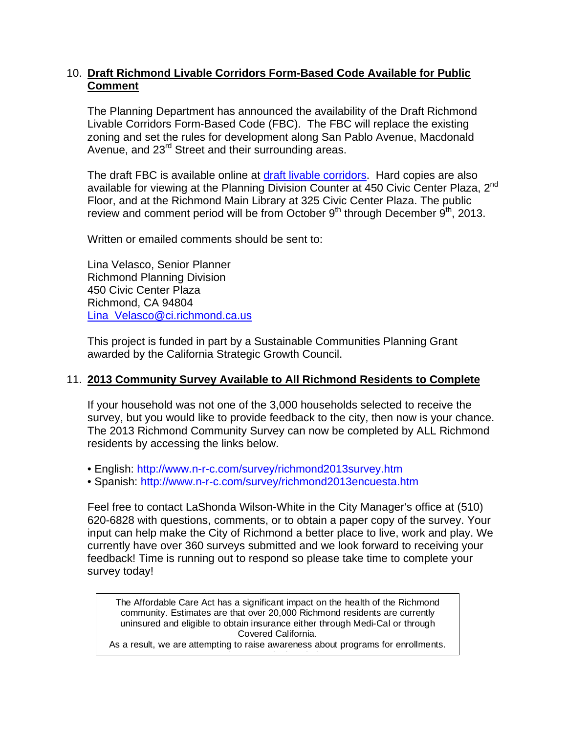### 10. **Draft Richmond Livable Corridors Form-Based Code Available for Public Comment**

The Planning Department has announced the availability of the Draft Richmond Livable Corridors Form-Based Code (FBC). The FBC will replace the existing zoning and set the rules for development along San Pablo Avenue, Macdonald Avenue, and 23<sup>rd</sup> Street and their surrounding areas.

The draft FBC is available online at [draft livable corridors.](http://www.ci.richmond.ca.us/DocumentCenter/View/27685) Hard copies are also available for viewing at the Planning Division Counter at 450 Civic Center Plaza, 2nd Floor, and at the Richmond Main Library at 325 Civic Center Plaza. The public review and comment period will be from October  $9<sup>th</sup>$  through December  $9<sup>th</sup>$ , 2013.

Written or emailed comments should be sent to:

Lina Velasco, Senior Planner Richmond Planning Division 450 Civic Center Plaza Richmond, CA 94804 [Lina\\_Velasco@ci.richmond.ca.us](mailto:Lina_Velasco@ci.richmond.ca.us)

This project is funded in part by a Sustainable Communities Planning Grant awarded by the California Strategic Growth Council.

### 11. **2013 Community Survey Available to All Richmond Residents to Complete**

If your household was not one of the 3,000 households selected to receive the survey, but you would like to provide feedback to the city, then now is your chance. The 2013 Richmond Community Survey can now be completed by ALL Richmond residents by accessing the links below.

• English:<http://www.n-r-c.com/survey/richmond2013survey.htm>

• Spanish:<http://www.n-r-c.com/survey/richmond2013encuesta.htm>

Feel free to contact LaShonda Wilson-White in the City Manager's office at (510) 620-6828 with questions, comments, or to obtain a paper copy of the survey. Your input can help make the City of Richmond a better place to live, work and play. We currently have over 360 surveys submitted and we look forward to receiving your feedback! Time is running out to respond so please take time to complete your survey today!

The Affordable Care Act has a significant impact on the health of the Richmond community. Estimates are that over 20,000 Richmond residents are currently uninsured and eligible to obtain insurance either through Medi-Cal or through Covered California.

As a result, we are attempting to raise awareness about programs for enrollments. <u>Planet in the international property of the international property of the international property of the international property  $\mathcal{L}_\mathbf{r}$ </u>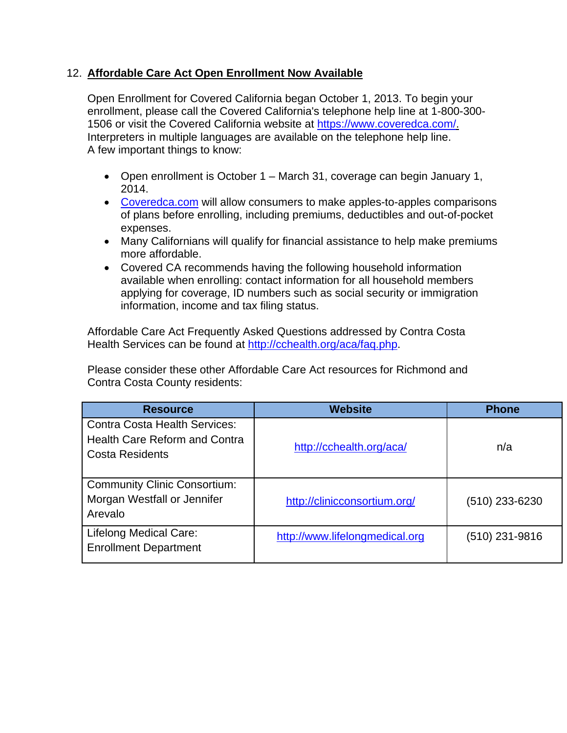### 12. **Affordable Care Act Open Enrollment Now Available**

Open Enrollment for Covered California began October 1, 2013. To begin your enrollment, please call the Covered California's telephone help line at 1-800-300- 1506 or visit the Covered California website at [https://www.coveredca.com/.](https://www.coveredca.com/) Interpreters in multiple languages are available on the telephone help line. A few important things to know:

- Open enrollment is October 1 March 31, coverage can begin January 1, 2014.
- [Coveredca.com](https://www.coveredca.com/) will allow consumers to make apples-to-apples comparisons of plans before enrolling, including premiums, deductibles and out-of-pocket expenses.
- Many Californians will qualify for financial assistance to help make premiums more affordable.
- Covered CA recommends having the following household information available when enrolling: contact information for all household members applying for coverage, ID numbers such as social security or immigration information, income and tax filing status.

Affordable Care Act Frequently Asked Questions addressed by Contra Costa Health Services can be found at [http://cchealth.org/aca/faq.php.](http://cchealth.org/aca/faq.php)

Please consider these other Affordable Care Act resources for Richmond and Contra Costa County residents:

| <b>Resource</b>                                                                                        | <b>Website</b>                 | <b>Phone</b>     |
|--------------------------------------------------------------------------------------------------------|--------------------------------|------------------|
| <b>Contra Costa Health Services:</b><br><b>Health Care Reform and Contra</b><br><b>Costa Residents</b> | http://cchealth.org/aca/       | n/a              |
| <b>Community Clinic Consortium:</b><br>Morgan Westfall or Jennifer<br>Arevalo                          | http://clinicconsortium.org/   | $(510)$ 233-6230 |
| Lifelong Medical Care:<br><b>Enrollment Department</b>                                                 | http://www.lifelongmedical.org | $(510)$ 231-9816 |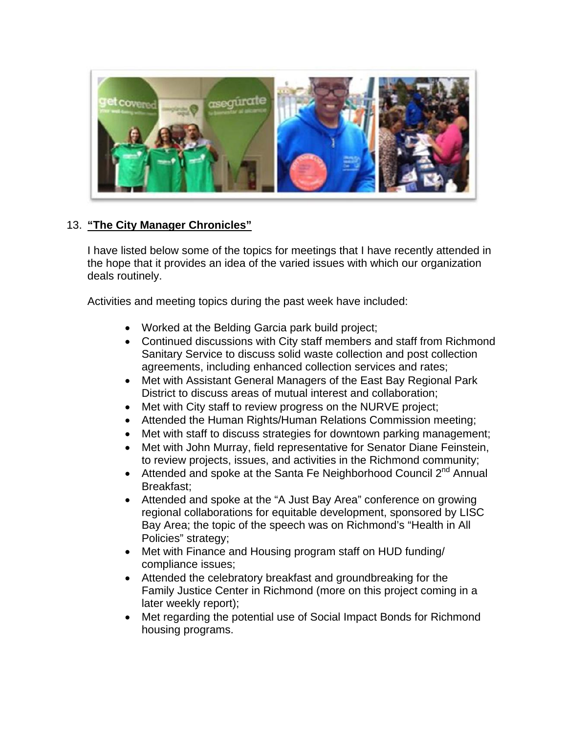

# 13. **"The City Manager Chronicles"**

I have listed below some of the topics for meetings that I have recently attended in the hope that it provides an idea of the varied issues with which our organization deals routinely.

Activities and meeting topics during the past week have included:

- Worked at the Belding Garcia park build project;
- Continued discussions with City staff members and staff from Richmond Sanitary Service to discuss solid waste collection and post collection agreements, including enhanced collection services and rates;
- Met with Assistant General Managers of the East Bay Regional Park District to discuss areas of mutual interest and collaboration;
- Met with City staff to review progress on the NURVE project;
- Attended the Human Rights/Human Relations Commission meeting;
- Met with staff to discuss strategies for downtown parking management;
- Met with John Murray, field representative for Senator Diane Feinstein, to review projects, issues, and activities in the Richmond community;
- Attended and spoke at the Santa Fe Neighborhood Council  $2^{nd}$  Annual Breakfast;
- Attended and spoke at the "A Just Bay Area" conference on growing regional collaborations for equitable development, sponsored by LISC Bay Area; the topic of the speech was on Richmond's "Health in All Policies" strategy;
- Met with Finance and Housing program staff on HUD funding/ compliance issues;
- Attended the celebratory breakfast and groundbreaking for the Family Justice Center in Richmond (more on this project coming in a later weekly report);
- Met regarding the potential use of Social Impact Bonds for Richmond housing programs.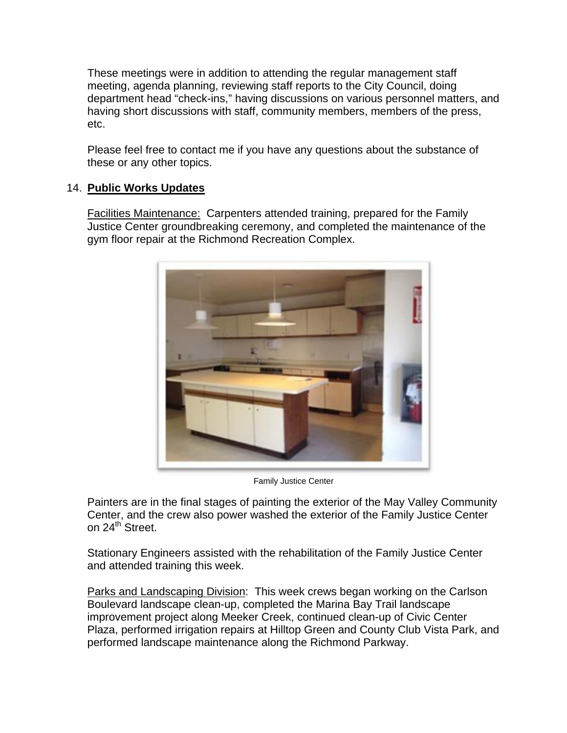These meetings were in addition to attending the regular management staff meeting, agenda planning, reviewing staff reports to the City Council, doing department head "check-ins," having discussions on various personnel matters, and having short discussions with staff, community members, members of the press, etc.

Please feel free to contact me if you have any questions about the substance of these or any other topics.

# 14. **Public Works Updates**

Facilities Maintenance: Carpenters attended training, prepared for the Family Justice Center groundbreaking ceremony, and completed the maintenance of the gym floor repair at the Richmond Recreation Complex.



Family Justice Center

Painters are in the final stages of painting the exterior of the May Valley Community Center, and the crew also power washed the exterior of the Family Justice Center on 24<sup>th</sup> Street.

Stationary Engineers assisted with the rehabilitation of the Family Justice Center and attended training this week.

Parks and Landscaping Division: This week crews began working on the Carlson Boulevard landscape clean-up, completed the Marina Bay Trail landscape improvement project along Meeker Creek, continued clean-up of Civic Center Plaza, performed irrigation repairs at Hilltop Green and County Club Vista Park, and performed landscape maintenance along the Richmond Parkway.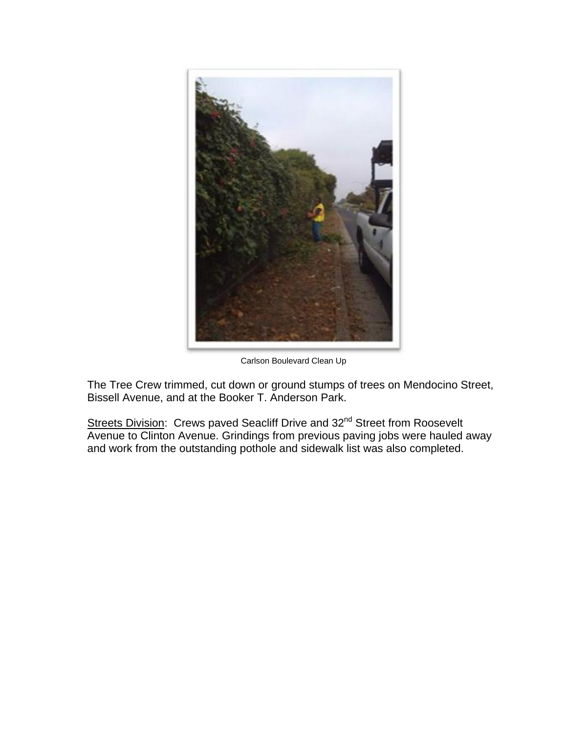

Carlson Boulevard Clean Up

The Tree Crew trimmed, cut down or ground stumps of trees on Mendocino Street, Bissell Avenue, and at the Booker T. Anderson Park.

Streets Division: Crews paved Seacliff Drive and 32<sup>nd</sup> Street from Roosevelt Avenue to Clinton Avenue. Grindings from previous paving jobs were hauled away and work from the outstanding pothole and sidewalk list was also completed.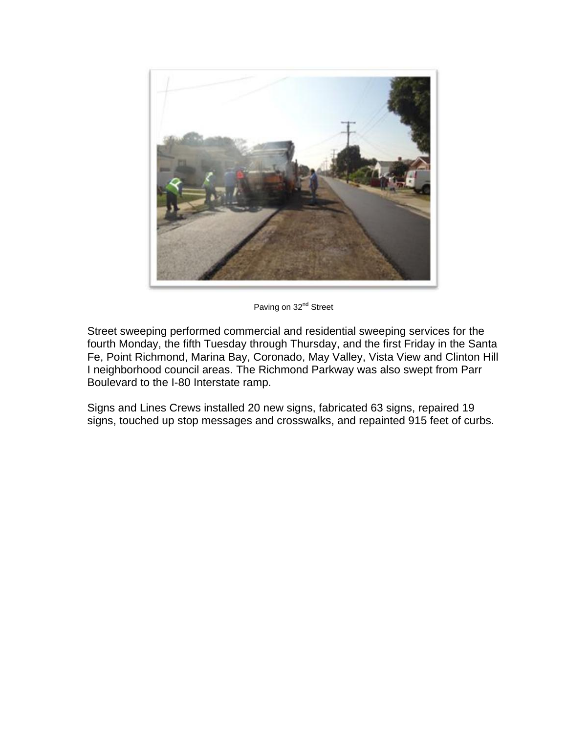

Paving on 32<sup>nd</sup> Street

Street sweeping performed commercial and residential sweeping services for the fourth Monday, the fifth Tuesday through Thursday, and the first Friday in the Santa Fe, Point Richmond, Marina Bay, Coronado, May Valley, Vista View and Clinton Hill I neighborhood council areas. The Richmond Parkway was also swept from Parr Boulevard to the I-80 Interstate ramp.

Signs and Lines Crews installed 20 new signs, fabricated 63 signs, repaired 19 signs, touched up stop messages and crosswalks, and repainted 915 feet of curbs.